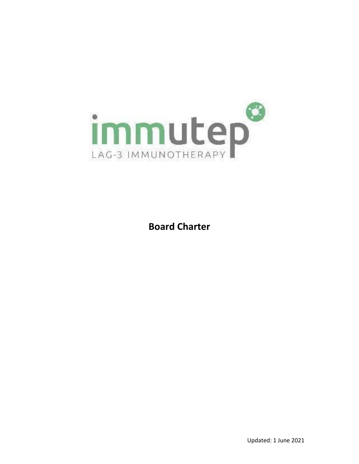

**Board Charter**

Updated: 1 June 2021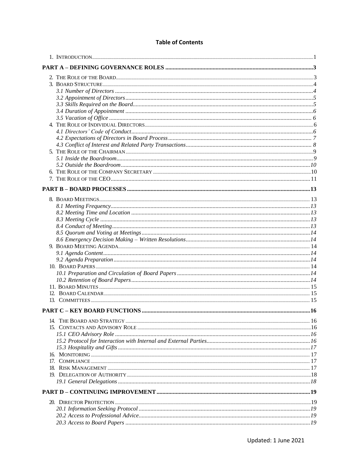## **Table of Contents**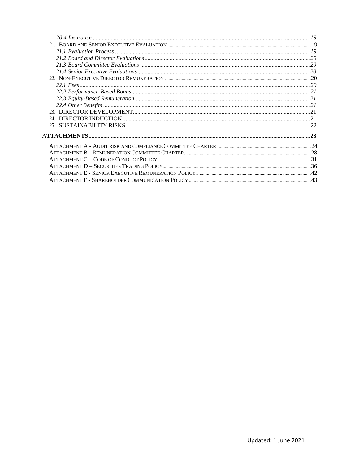| 24 |  |
|----|--|
|    |  |
|    |  |
|    |  |
|    |  |
|    |  |
|    |  |
|    |  |
|    |  |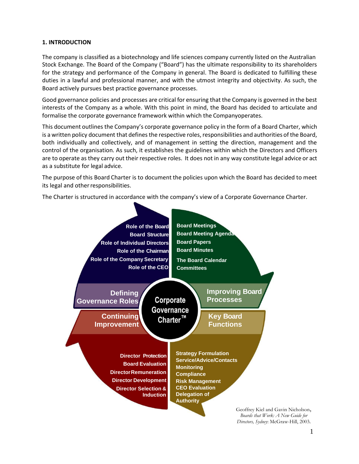### <span id="page-3-0"></span>**1. INTRODUCTION**

The company is classified as a biotechnology and life sciences company currently listed on the Australian Stock Exchange. The Board of the Company ("Board") has the ultimate responsibility to its shareholders for the strategy and performance of the Company in general. The Board is dedicated to fulfilling these duties in a lawful and professional manner, and with the utmost integrity and objectivity. As such, the Board actively pursues best practice governance processes.

Good governance policies and processes are critical for ensuring that the Company is governed in the best interests of the Company as a whole. With this point in mind, the Board has decided to articulate and formalise the corporate governance framework within which the Companyoperates.

This document outlines the Company's corporate governance policy in the form of a Board Charter, which is a written policy document that defines the respective roles, responsibilities and authorities of the Board, both individually and collectively, and of management in setting the direction, management and the control of the organisation. As such, it establishes the guidelines within which the Directors and Officers are to operate as they carry out their respective roles. It does not in any way constitute legal advice or act as a substitute for legal advice.

The purpose of this Board Charter is to document the policies upon which the Board has decided to meet its legal and other responsibilities.

The Charter is structured in accordance with the company's view of a Corporate Governance Charter.



Geoffrey Kiel and Gavin Nicholson, *Boards that Work: A New Guide for Directors, Sydney*: McGraw-Hill, 2003.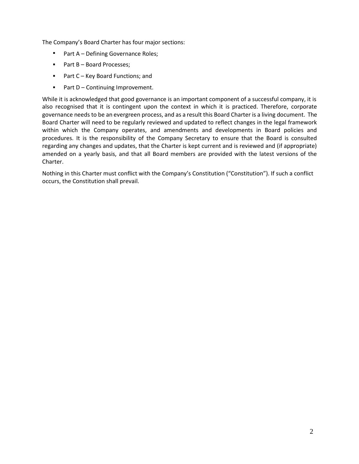The Company's Board Charter has four major sections:

- Part A – Defining Governance Roles;
- Part B Board Processes;
- Part C Key Board Functions; and
- Part D – Continuing Improvement.

While it is acknowledged that good governance is an important component of a successful company, it is also recognised that it is contingent upon the context in which it is practiced. Therefore, corporate governance needs to be an evergreen process, and as a result this Board Charter is a living document. The Board Charter will need to be regularly reviewed and updated to reflect changes in the legal framework within which the Company operates, and amendments and developments in Board policies and procedures. It is the responsibility of the Company Secretary to ensure that the Board is consulted regarding any changes and updates, that the Charter is kept current and is reviewed and (if appropriate) amended on a yearly basis, and that all Board members are provided with the latest versions of the Charter.

Nothing in this Charter must conflict with the Company's Constitution ("Constitution"). If such a conflict occurs, the Constitution shall prevail.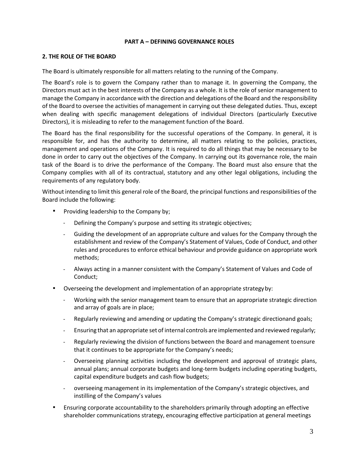#### <span id="page-5-0"></span>**PART A – DEFINING GOVERNANCE ROLES**

#### <span id="page-5-1"></span>**2. THE ROLE OF THE BOARD**

The Board is ultimately responsible for all matters relating to the running of the Company.

The Board's role is to govern the Company rather than to manage it. In governing the Company, the Directors must act in the best interests of the Company as a whole. It is the role of senior management to manage the Company in accordance with the direction and delegations of the Board and the responsibility of the Board to oversee the activities of management in carrying out these delegated duties. Thus, except when dealing with specific management delegations of individual Directors (particularly Executive Directors), it is misleading to refer to the management function of the Board.

The Board has the final responsibility for the successful operations of the Company. In general, it is responsible for, and has the authority to determine, all matters relating to the policies, practices, management and operations of the Company. It is required to do all things that may be necessary to be done in order to carry out the objectives of the Company. In carrying out its governance role, the main task of the Board is to drive the performance of the Company. The Board must also ensure that the Company complies with all of its contractual, statutory and any other legal obligations, including the requirements of any regulatory body.

Without intending to limit this general role of the Board, the principal functions and responsibilities of the Board include the following:

- **•** Providing leadership to the Company by;
	- Defining the Company's purpose and setting its strategic objectives;
	- Guiding the development of an appropriate culture and values for the Company through the establishment and review of the Company's Statement of Values, Code of Conduct, and other rules and procedures to enforce ethical behaviour and provide guidance on appropriate work methods;
	- Always acting in a manner consistent with the Company's Statement of Values and Code of Conduct; -
- Overseeing the development and implementation of an appropriate strategyby:
	- Working with the senior management team to ensure that an appropriate strategic direction and array of goals are in place;
	- Regularly reviewing and amending or updating the Company's strategic directionand goals; -
	- Ensuring that an appropriate set of internal controls are implemented and reviewed regularly; -
	- Regularly reviewing the division of functions between the Board and management toensure that it continues to be appropriate for the Company's needs; -
	- Overseeing planning activities including the development and approval of strategic plans, annual plans; annual corporate budgets and long-term budgets including operating budgets, capital expenditure budgets and cash flow budgets; -
	- overseeing management in its implementation of the Company's strategic objectives, and instilling of the Company's values -
- Ensuring corporate accountability to the shareholders primarily through adopting an effective shareholder communications strategy, encouraging effective participation at general meetings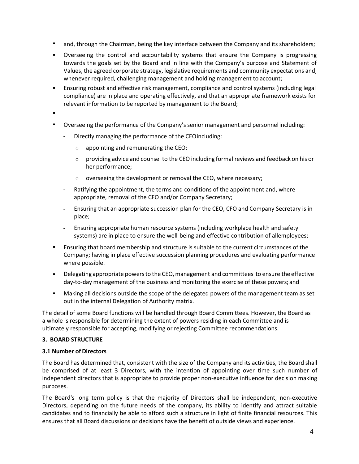- and, through the Chairman, being the key interface between the Company and its shareholders;
- Overseeing the control and accountability systems that ensure the Company is progressing towards the goals set by the Board and in line with the Company's purpose and Statement of Values, the agreed corporate strategy, legislative requirements and community expectations and, whenever required, challenging management and holding management to account;
- Ensuring robust and effective risk management, compliance and control systems (including legal compliance) are in place and operating effectively, and that an appropriate framework exists for relevant information to be reported by management to the Board; ▪
- ▪
- Overseeing the performance of the Company's senior management and personnel including:
	- Directly managing the performance of the CEOincluding:
		- o appointing and remunerating the CEO;
		- $\circ$  providing advice and counsel to the CEO including formal reviews and feedback on his or her performance;
		- o overseeing the development or removal the CEO, where necessary;
	- Ratifying the appointment, the terms and conditions of the appointment and, where appropriate, removal of the CFO and/or Company Secretary;
	- Ensuring that an appropriate succession plan for the CEO, CFO and Company Secretary is in place; -
	- Ensuring appropriate human resource systems (including workplace health and safety systems) are in place to ensure the well-being and effective contribution of allemployees; -
- **E** Ensuring that board membership and structure is suitable to the current circumstances of the Company; having in place effective succession planning procedures and evaluating performance where possible.
- Delegating appropriate powers to the CEO, management and committees to ensure the effective day-to-day management of the business and monitoring the exercise of these powers; and
- Making all decisions outside the scope of the delegated powers of the management team as set out in the internal Delegation of Authority matrix. ▪

The detail of some Board functions will be handled through Board Committees. However, the Board as a whole is responsible for determining the extent of powers residing in each Committee and is ultimately responsible for accepting, modifying or rejecting Committee recommendations.

### <span id="page-6-0"></span>**3. BOARD STRUCTURE**

### <span id="page-6-1"></span>**3.1 Number of Directors**

The Board has determined that, consistent with the size of the Company and its activities, the Board shall be comprised of at least 3 Directors, with the intention of appointing over time such number of independent directors that is appropriate to provide proper non-executive influence for decision making purposes.

The Board's long term policy is that the majority of Directors shall be independent, non-executive Directors, depending on the future needs of the company, its ability to identify and attract suitable candidates and to financially be able to afford such a structure in light of finite financial resources. This ensures that all Board discussions or decisions have the benefit of outside views and experience.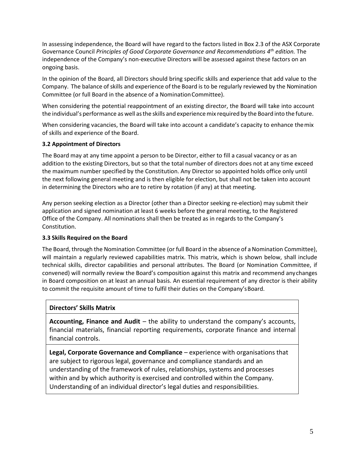In assessing independence, the Board will have regard to the factors listed in Box 2.3 of the ASX Corporate Governance Council *Principles of Good Corporate Governance and Recommendations 4th edition.* The independence of the Company's non-executive Directors will be assessed against these factors on an ongoing basis.

In the opinion of the Board, all Directors should bring specific skills and experience that add value to the Company. The balance ofskills and experience of the Board is to be regularly reviewed by the Nomination Committee (or full Board in the absence of a Nomination Committee).

When considering the potential reappointment of an existing director, the Board will take into account the individual's performance as well asthe skills and experiencemix required by the Board into the future.

When considering vacancies, the Board will take into account a candidate's capacity to enhance themix of skills and experience of the Board.

#### <span id="page-7-0"></span>**3.2 Appointment of Directors**

The Board may at any time appoint a person to be Director, either to fill a casual vacancy or as an addition to the existing Directors, but so that the total number of directors does not at any time exceed the maximum number specified by the Constitution. Any Director so appointed holds office only until the next following general meeting and is then eligible for election, but shall not be taken into account in determining the Directors who are to retire by rotation (if any) at that meeting.

Any person seeking election as a Director (other than a Director seeking re-election) may submit their application and signed nomination at least 6 weeks before the general meeting, to the Registered Office of the Company. All nominations shall then be treated as in regards to the Company's Constitution.

#### <span id="page-7-1"></span>**3.3 Skills Required on the Board**

The Board, through the Nomination Committee (or full Board in the absence of a Nomination Committee), will maintain a regularly reviewed capabilities matrix. This matrix, which is shown below, shall include technical skills, director capabilities and personal attributes. The Board (or Nomination Committee, if convened) will normally review the Board's composition against this matrix and recommend anychanges in Board composition on at least an annual basis. An essential requirement of any director is their ability to commit the requisite amount of time to fulfil their duties on the Company'sBoard.

### **Directors' Skills Matrix**

**Accounting, Finance and Audit** – the ability to understand the company's accounts, financial materials, financial reporting requirements, corporate finance and internal financial controls.

**Legal, Corporate Governance and Compliance** – experience with organisations that are subject to rigorous legal, governance and compliance standards and an understanding of the framework of rules, relationships, systems and processes within and by which authority is exercised and controlled within the Company. Understanding of an individual director's legal duties and responsibilities.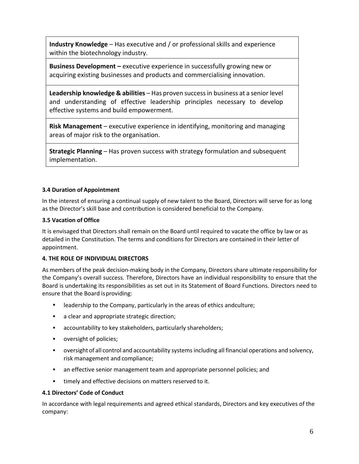**Industry Knowledge** – Has executive and / or professional skills and experience within the biotechnology industry.

**Business Development –** executive experience in successfully growing new or acquiring existing businesses and products and commercialising innovation.

**Leadership knowledge & abilities** – Has proven successin business at a senior level and understanding of effective leadership principles necessary to develop effective systems and build empowerment.

**Risk Management** – executive experience in identifying, monitoring and managing areas of major risk to the organisation.

**Strategic Planning** – Has proven success with strategy formulation and subsequent implementation.

# <span id="page-8-0"></span>**3.4 Duration of Appointment**

<span id="page-8-1"></span>In the interest of ensuring a continual supply of new talent to the Board, Directors will serve for as long as the Director's skill base and contribution is considered beneficial to the Company.

# **3.5 Vacation of Office**

It is envisaged that Directors shall remain on the Board until required to vacate the office by law or as detailed in the Constitution. The terms and conditions for Directors are contained in their letter of appointment.

# <span id="page-8-2"></span>**4. THE ROLE OF INDIVIDUAL DIRECTORS**

As members of the peak decision-making body in the Company, Directors share ultimate responsibility for the Company's overall success. Therefore, Directors have an individual responsibility to ensure that the Board is undertaking its responsibilities as set out in its Statement of Board Functions. Directors need to ensure that the Board isproviding:

- leadership to the Company, particularly in the areas of ethics andculture;
- a clear and appropriate strategic direction;
- accountability to key stakeholders, particularly shareholders;
- oversight of policies;
- **•** oversight of all control and accountability systems including all financial operations and solvency, risk management and compliance;
- an effective senior management team and appropriate personnel policies; and ▪
- timely and effective decisions on matters reserved to it. ▪

### <span id="page-8-3"></span>**4.1 Directors' Code of Conduct**

In accordance with legal requirements and agreed ethical standards, Directors and key executives of the company: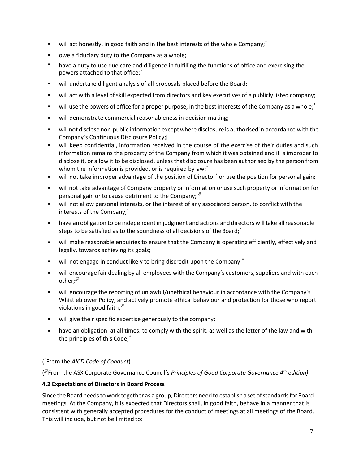- will act honestly, in good faith and in the best interests of the whole Company;<sup>\*</sup> ▪
- owe a fiduciary duty to the Company as a whole; ▪
- have a duty to use due care and diligence in fulfilling the functions of office and exercising the powers attached to that office;\* ▪
- will undertake diligent analysis of all proposals placed before the Board; ▪
- will act with a level of skill expected from directors and key executives of a publicly listed company; ▪
- will use the powers of office for a proper purpose, in the best interests of the Company as a whole;<sup>\*</sup> ▪
- will demonstrate commercial reasonableness in decision making; ▪
- will not disclose non-public informationexceptwhere disclosure is authorisedin accordance with the Company's Continuous Disclosure Policy; ▪
- will keep confidential, information received in the course of the exercise of their duties and such information remains the property of the Company from which it was obtained and it is improper to disclose it, or allow it to be disclosed, unlessthat disclosure has been authorised by the person from whom the information is provided, or is required by law;<sup>\*</sup>
- will not take improper advantage of the position of Director<sup>\*</sup> or use the position for personal gain;
- will not take advantage of Company property or information or use such property or information for personal gain or to cause detriment to the Company;  $x^{\mu}$
- will not allow personal interests, or the interest of any associated person, to conflict with the interests of the Company;\* ▪
- have an obligation to be independent in judgment and actions and directors will take all reasonable steps to be satisfied as to the soundness of all decisions of the Board;<sup>\*</sup> ▪
- will make reasonable enquiries to ensure that the Company is operating efficiently, effectively and legally, towards achieving its goals; ▪
- will not engage in conduct likely to bring discredit upon the Company;<sup>\*</sup> ▪
- will encourage fair dealing by all employees with the Company's customers, suppliers and with each other;<sup> $x^{\overline{x}}$ </sup> ▪
- will encourage the reporting of unlawful/unethical behaviour in accordance with the Company's Whistleblower Policy, and actively promote ethical behaviour and protection for those who report violations in good faith; $x^{\overline{x}}$ ▪
- will give their specific expertise generously to the company;
- have an obligation, at all times, to comply with the spirit, as well as the letter of the law and with the principles of this Code;\*

# ( \* From the *AICD Code of Conduct*)

( From the ASX Corporate Governance Council's *Principles of Good Corporate Governance 4th edition)*

### <span id="page-9-0"></span>**4.2 Expectations of Directors in Board Process**

Since the Board needs to work together as a group, Directors need to establish a set of standards for Board meetings. At the Company, it is expected that Directors shall, in good faith, behave in a manner that is consistent with generally accepted procedures for the conduct of meetings at all meetings of the Board. This will include, but not be limited to: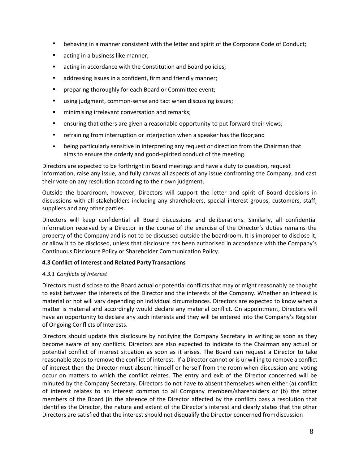- behaving in a manner consistent with the letter and spirit of the Corporate Code of Conduct;
- acting in a business like manner;
- acting in accordance with the Constitution and Board policies;
- addressing issues in a confident, firm and friendly manner;
- preparing thoroughly for each Board or Committee event;
- using judgment, common-sense and tact when discussing issues;
- minimising irrelevant conversation and remarks;
- ensuring that others are given a reasonable opportunity to put forward their views;
- **EXP** refraining from interruption or interjection when a speaker has the floor;and
- being particularly sensitive in interpreting any request or direction from the Chairman that aims to ensure the orderly and good-spirited conduct of the meeting.

Directors are expected to be forthright in Board meetings and have a duty to question, request information, raise any issue, and fully canvas all aspects of any issue confronting the Company, and cast their vote on any resolution according to their own judgment.

Outside the boardroom, however, Directors will support the letter and spirit of Board decisions in discussions with all stakeholders including any shareholders, special interest groups, customers, staff, suppliers and any other parties.

Directors will keep confidential all Board discussions and deliberations. Similarly, all confidential information received by a Director in the course of the exercise of the Director's duties remains the property of the Company and is not to be discussed outside the boardroom. It is improper to disclose it, or allow it to be disclosed, unless that disclosure has been authorised in accordance with the Company's Continuous Disclosure Policy or Shareholder Communication Policy.

# <span id="page-10-0"></span>**4.3 Conflict of Interest and Related PartyTransactions**

# *4.3.1 Conflicts of Interest*

Directors must disclose to the Board actual or potential conflicts that may or might reasonably be thought to exist between the interests of the Director and the interests of the Company. Whether an interest is material or not will vary depending on individual circumstances. Directors are expected to know when a matter is material and accordingly would declare any material conflict. On appointment, Directors will have an opportunity to declare any such interests and they will be entered into the Company's Register of Ongoing Conflicts of Interests.

Directors should update this disclosure by notifying the Company Secretary in writing as soon as they become aware of any conflicts. Directors are also expected to indicate to the Chairman any actual or potential conflict of interest situation as soon as it arises. The Board can request a Director to take reasonable steps to remove the conflict of interest. If a Director cannot or is unwilling to remove a conflict of interest then the Director must absent himself or herself from the room when discussion and voting occur on matters to which the conflict relates. The entry and exit of the Director concerned will be minuted by the Company Secretary. Directors do not have to absent themselves when either (a) conflict of interest relates to an interest common to all Company members/shareholders or (b) the other members of the Board (in the absence of the Director affected by the conflict) pass a resolution that identifies the Director, the nature and extent of the Director's interest and clearly states that the other Directors are satisfied that the interest should not disqualify the Director concerned fromdiscussion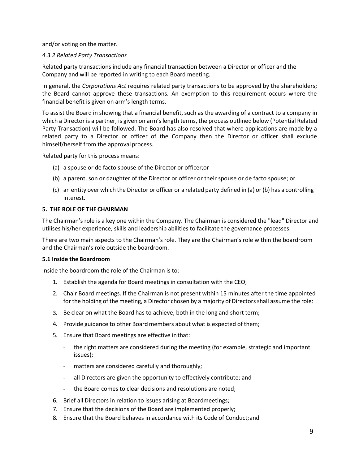and/or voting on the matter.

# *4.3.2 Related Party Transactions*

Related party transactions include any financial transaction between a Director or officer and the Company and will be reported in writing to each Board meeting.

In general, the *Corporations Act* requires related party transactions to be approved by the shareholders; the Board cannot approve these transactions. An exemption to this requirement occurs where the financial benefit is given on arm's length terms.

To assist the Board in showing that a financial benefit, such as the awarding of a contract to a company in which a Director is a partner, is given on arm's length terms, the process outlined below (Potential Related Party Transaction) will be followed. The Board has also resolved that where applications are made by a related party to a Director or officer of the Company then the Director or officer shall exclude himself/herself from the approval process.

Related party for this process means:

- (a) a spouse or de facto spouse of the Director or officer;or
- (b) a parent, son or daughter of the Director or officer or their spouse or de facto spouse; or
- (c) an entity over which the Director or officer or a related party defined in (a) or(b) has a controlling interest.

## <span id="page-11-0"></span>**5. THE ROLE OF THE CHAIRMAN**

The Chairman's role is a key one within the Company. The Chairman is considered the "lead" Director and utilises his/her experience, skills and leadership abilities to facilitate the governance processes.

There are two main aspects to the Chairman's role. They are the Chairman's role within the boardroom and the Chairman's role outside the boardroom.

### <span id="page-11-1"></span>**5.1 Inside the Boardroom**

Inside the boardroom the role of the Chairman is to:

- 1. Establish the agenda for Board meetings in consultation with the CEO;
- 2. Chair Board meetings. If the Chairman is not present within 15 minutes after the time appointed for the holding of the meeting, a Director chosen by a majority of Directors shall assume the role:
- 3. Be clear on what the Board has to achieve, both in the long and short term;
- 4. Provide guidance to other Board members about what is expected of them;
- Ensure that Board meetings are effective inthat: 5.
	- the right matters are considered during the meeting (for example, strategic and important issues);
	- matters are considered carefully and thoroughly; -
	- all Directors are given the opportunity to effectively contribute; and -
	- the Board comes to clear decisions and resolutions are noted; -
- 6. Brief all Directors in relation to issues arising at Boardmeetings;
- 7. Ensure that the decisions of the Board are implemented properly;
- 8. Ensure that the Board behaves in accordance with its Code of Conduct;and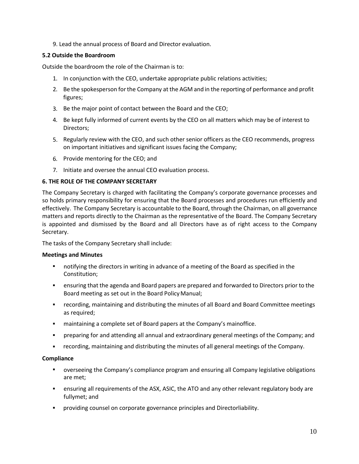9. Lead the annual process of Board and Director evaluation.

# <span id="page-12-0"></span>**5.2 Outside the Boardroom**

Outside the boardroom the role of the Chairman is to:

- 1. In conjunction with the CEO, undertake appropriate public relations activities;
- 2. Be the spokesperson forthe Company at the AGM and in the reporting of performance and profit figures;
- 3. Be the major point of contact between the Board and the CEO;
- 4. Be kept fully informed of current events by the CEO on all matters which may be of interest to Directors;
- 5. Regularly review with the CEO, and such other senior officers as the CEO recommends, progress on important initiatives and significant issues facing the Company;
- 6. Provide mentoring for the CEO; and
- 7. Initiate and oversee the annual CEO evaluation process.

# <span id="page-12-1"></span>**6. THE ROLE OF THE COMPANY SECRETARY**

The Company Secretary is charged with facilitating the Company's corporate governance processes and so holds primary responsibility for ensuring that the Board processes and procedures run efficiently and effectively. The Company Secretary is accountable to the Board, through the Chairman, on all governance matters and reports directly to the Chairman as the representative of the Board. The Company Secretary is appointed and dismissed by the Board and all Directors have as of right access to the Company Secretary.

The tasks of the Company Secretary shall include:

### **Meetings and Minutes**

- notifying the directors in writing in advance of a meeting of the Board as specified in the Constitution;
- ensuring that the agenda and Board papers are prepared and forwarded to Directors prior to the Board meeting as set out in the Board PolicyManual;
- recording, maintaining and distributing the minutes of all Board and Board Committee meetings as required;
- maintaining a complete set of Board papers at the Company's mainoffice.
- preparing for and attending all annual and extraordinary general meetings of the Company; and ▪
- recording, maintaining and distributing the minutes of all general meetings of the Company. ▪

### **Compliance**

- overseeing the Company's compliance program and ensuring all Company legislative obligations are met;
- ensuring all requirements of the ASX, ASIC, the ATO and any other relevant regulatory body are fullymet; and
- providing counsel on corporate governance principles and Directorliability. ▪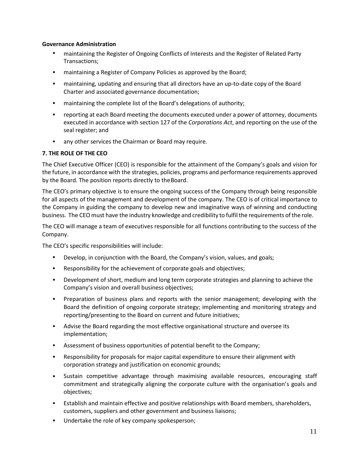### **Governance Administration**

- **■** maintaining the Register of Ongoing Conflicts of Interests and the Register of Related Party Transactions;
- maintaining a Register of Company Policies as approved by the Board; ▪
- maintaining, updating and ensuring that all directors have an up-to-date copy of the Board Charter and associated governance documentation;
- maintaining the complete list of the Board's delegations of authority; ▪
- reporting at each Board meeting the documents executed under a power of attorney, documents executed in accordance with section 127 of the *Corporations Act*, and reporting on the use of the seal register; and ▪
- any other services the Chairman or Board may require. ▪

# <span id="page-13-0"></span>**7. THE ROLE OF THE CEO**

The Chief Executive Officer (CEO) is responsible for the attainment of the Company's goals and vision for the future, in accordance with the strategies, policies, programs and performance requirements approved by the Board. The position reports directly to theBoard.

The CEO's primary objective is to ensure the ongoing success of the Company through being responsible for all aspects of the management and development of the company. The CEO is of critical importance to the Company in guiding the company to develop new and imaginative ways of winning and conducting business. The CEO must have the industry knowledge and credibility to fulfil the requirements of the role.

The CEO will manage a team of executives responsible for all functions contributing to the success of the Company.

The CEO's specific responsibilities will include:

- Develop, in conjunction with the Board, the Company's vision, values, and goals;
- Responsibility for the achievement of corporate goals and objectives;
- Development of short, medium and long term corporate strategies and planning to achieve the Company's vision and overall business objectives;
- **•** Preparation of business plans and reports with the senior management; developing with the Board the definition of ongoing corporate strategy; implementing and monitoring strategy and reporting/presenting to the Board on current and future initiatives;
- **EXECT** Advise the Board regarding the most effective organisational structure and oversee its implementation;
- Assessment of business opportunities of potential benefit to the Company;
- Responsibility for proposals for major capital expenditure to ensure their alignment with corporation strategy and justification on economic grounds; ▪
- Sustain competitive advantage through maximising available resources, encouraging staff commitment and strategically aligning the corporate culture with the organisation's goals and objectives; ▪
- Establish and maintain effective and positive relationships with Board members, shareholders, customers, suppliers and other government and business liaisons;
- Undertake the role of key company spokesperson;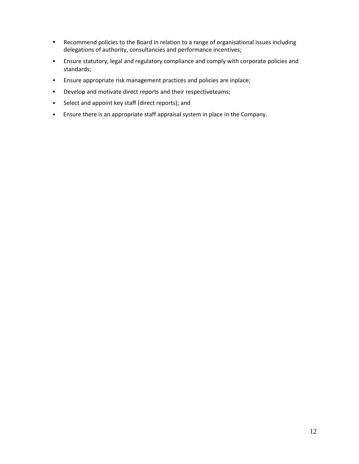- Recommend policies to the Board in relation to a range of organisational issues including delegations of authority, consultancies and performance incentives;
- Ensure statutory, legal and regulatory compliance and comply with corporate policies and standards; ▪
- Ensure appropriate risk management practices and policies are inplace; ▪
- Develop and motivate direct reports and their respectiveteams; ▪
- Select and appoint key staff (direct reports); and ▪
- Ensure there is an appropriate staff appraisal system in place in the Company.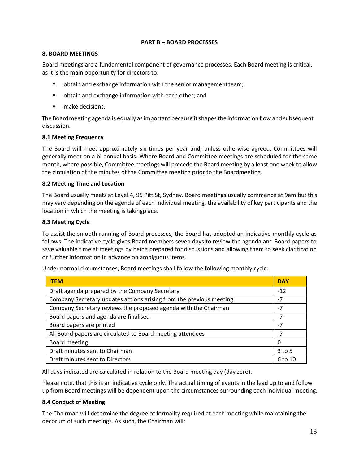### <span id="page-15-0"></span>**PART B – BOARD PROCESSES**

## <span id="page-15-1"></span>**8. BOARD MEETINGS**

Board meetings are a fundamental component of governance processes. Each Board meeting is critical, as it is the main opportunity for directors to:

- obtain and exchange information with the senior managementteam;
- obtain and exchange information with each other; and
- make decisions.

The Boardmeeting agenda is equally asimportant because itshapesthe information flow and subsequent discussion.

## <span id="page-15-2"></span>**8.1 Meeting Frequency**

The Board will meet approximately six times per year and, unless otherwise agreed, Committees will generally meet on a bi-annual basis. Where Board and Committee meetings are scheduled for the same month, where possible, Committee meetings will precede the Board meeting by a least one week to allow the circulation of the minutes of the Committee meeting prior to the Boardmeeting.

### <span id="page-15-3"></span>**8.2 Meeting Time and Location**

The Board usually meets at Level 4, 95 Pitt St, Sydney. Board meetings usually commence at 9am but this may vary depending on the agenda of each individual meeting, the availability of key participants and the location in which the meeting is takingplace.

### <span id="page-15-4"></span>**8.3 Meeting Cycle**

To assist the smooth running of Board processes, the Board has adopted an indicative monthly cycle as follows. The indicative cycle gives Board members seven days to review the agenda and Board papers to save valuable time at meetings by being prepared for discussions and allowing them to seek clarification or further information in advance on ambiguous items.

| <b>ITEM</b>                                                         | <b>DAY</b> |
|---------------------------------------------------------------------|------------|
| Draft agenda prepared by the Company Secretary                      | $-12$      |
| Company Secretary updates actions arising from the previous meeting | -7         |
| Company Secretary reviews the proposed agenda with the Chairman     | $-7$       |
| Board papers and agenda are finalised                               | $-7$       |
| Board papers are printed                                            | $-7$       |
| All Board papers are circulated to Board meeting attendees          | $-7$       |
| Board meeting                                                       | 0          |
| Draft minutes sent to Chairman                                      | $3$ to 5   |
| Draft minutes sent to Directors                                     |            |

Under normal circumstances, Board meetings shall follow the following monthly cycle:

All days indicated are calculated in relation to the Board meeting day (day zero).

Please note, that this is an indicative cycle only. The actual timing of events in the lead up to and follow up from Board meetings will be dependent upon the circumstances surrounding each individual meeting.

### <span id="page-15-5"></span>**8.4 Conduct of Meeting**

The Chairman will determine the degree of formality required at each meeting while maintaining the decorum of such meetings. As such, the Chairman will: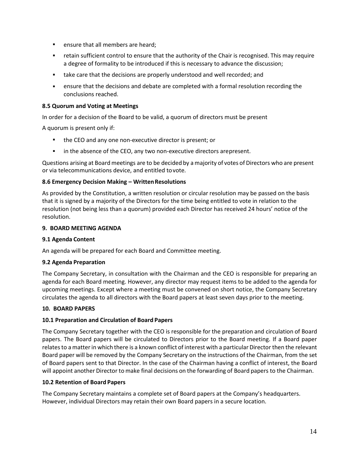- **•** ensure that all members are heard;
- **EXT** retain sufficient control to ensure that the authority of the Chair is recognised. This may require a degree of formality to be introduced if this is necessary to advance the discussion;
- take care that the decisions are properly understood and well recorded; and
- ensure that the decisions and debate are completed with a formal resolution recording the conclusions reached. ▪

### <span id="page-16-0"></span>**8.5 Quorum and Voting at Meetings**

In order for a decision of the Board to be valid, a quorum of directors must be present

A quorum is present only if:

- the CEO and any one non-executive director is present; or
- in the absence of the CEO, any two non-executive directors arepresent.

Questions arising at Boardmeetings are to be decided by a majority of votes of Directors who are present or via telecommunications device, and entitled tovote.

#### <span id="page-16-1"></span>**8.6 Emergency Decision Making – WrittenResolutions**

As provided by the Constitution, a written resolution or circular resolution may be passed on the basis that it is signed by a majority of the Directors for the time being entitled to vote in relation to the resolution (not being less than a quorum) provided each Director has received 24 hours' notice of the resolution.

#### <span id="page-16-2"></span>**9. BOARD MEETING AGENDA**

#### <span id="page-16-3"></span>**9.1 Agenda Content**

An agenda will be prepared for each Board and Committee meeting.

### <span id="page-16-4"></span>**9.2 Agenda Preparation**

The Company Secretary, in consultation with the Chairman and the CEO is responsible for preparing an agenda for each Board meeting. However, any director may request items to be added to the agenda for upcoming meetings. Except where a meeting must be convened on short notice, the Company Secretary circulates the agenda to all directors with the Board papers at least seven days prior to the meeting.

#### <span id="page-16-5"></span>**10. BOARD PAPERS**

### <span id="page-16-6"></span>**10.1 Preparation and Circulation of Board Papers**

The Company Secretary together with the CEO is responsible for the preparation and circulation of Board papers. The Board papers will be circulated to Directors prior to the Board meeting. If a Board paper relates to a matter in which there is a known conflict of interest with a particular Director then the relevant Board paper will be removed by the Company Secretary on the instructions of the Chairman, from the set of Board papers sent to that Director. In the case of the Chairman having a conflict of interest, the Board will appoint another Director to make final decisions on the forwarding of Board papers to the Chairman.

#### <span id="page-16-7"></span>**10.2 Retention of Board Papers**

The Company Secretary maintains a complete set of Board papers at the Company's headquarters. However, individual Directors may retain their own Board papers in a secure location.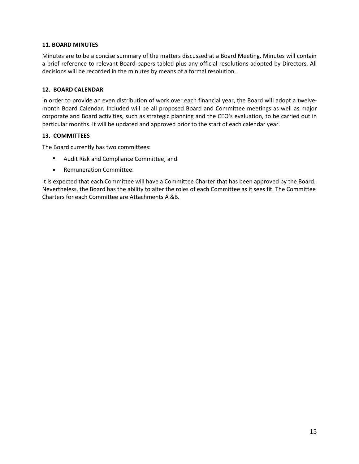### <span id="page-17-0"></span>**11. BOARD MINUTES**

Minutes are to be a concise summary of the matters discussed at a Board Meeting. Minutes will contain a brief reference to relevant Board papers tabled plus any official resolutions adopted by Directors. All decisions will be recorded in the minutes by means of a formal resolution.

### <span id="page-17-1"></span>**12. BOARD CALENDAR**

In order to provide an even distribution of work over each financial year, the Board will adopt a twelvemonth Board Calendar. Included will be all proposed Board and Committee meetings as well as major corporate and Board activities, such as strategic planning and the CEO's evaluation, to be carried out in particular months. It will be updated and approved prior to the start of each calendar year.

## <span id="page-17-2"></span>**13. COMMITTEES**

The Board currently has two committees:

- Audit Risk and Compliance Committee; and
- Remuneration Committee.

It is expected that each Committee will have a Committee Charter that has been approved by the Board. Nevertheless, the Board has the ability to alter the roles of each Committee as it sees fit. The Committee Charters for each Committee are Attachments A &B.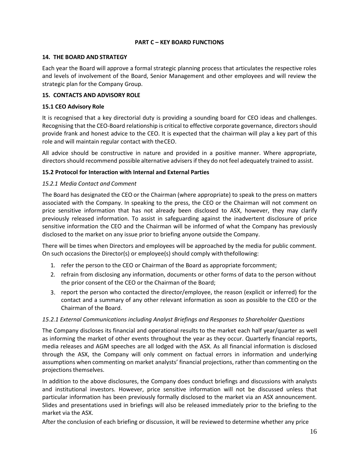## <span id="page-18-0"></span>**PART C – KEY BOARD FUNCTIONS**

### <span id="page-18-1"></span>**14. THE BOARD AND STRATEGY**

Each year the Board will approve a formal strategic planning process that articulates the respective roles and levels of involvement of the Board, Senior Management and other employees and will review the strategic plan for the Company Group.

### <span id="page-18-2"></span>**15. CONTACTS AND ADVISORY ROLE**

### <span id="page-18-3"></span>**15.1 CEO Advisory Role**

It is recognised that a key directorial duty is providing a sounding board for CEO ideas and challenges. Recognising that the CEO-Board relationship is critical to effective corporate governance, directors should provide frank and honest advice to the CEO. It is expected that the chairman will play a key part of this role and will maintain regular contact with theCEO.

All advice should be constructive in nature and provided in a positive manner. Where appropriate, directorsshould recommend possible alternative advisers if they do not feel adequately trained to assist.

## <span id="page-18-4"></span>**15.2 Protocol for Interaction with Internal and External Parties**

### *15.2.1 Media Contact and Comment*

The Board has designated the CEO or the Chairman (where appropriate) to speak to the press on matters associated with the Company. In speaking to the press, the CEO or the Chairman will not comment on price sensitive information that has not already been disclosed to ASX, however, they may clarify previously released information. To assist in safeguarding against the inadvertent disclosure of price sensitive information the CEO and the Chairman will be informed of what the Company has previously disclosed to the market on any issue prior to briefing anyone outside the Company.

There will be times when Directors and employees will be approached by the media for public comment. On such occasions the Director(s) or employee(s) should comply with thefollowing:

- 1. refer the person to the CEO or Chairman of the Board as appropriate forcomment;
- 2. refrain from disclosing any information, documents or other forms of data to the person without the prior consent of the CEO or the Chairman of the Board;
- 3. report the person who contacted the director/employee, the reason (explicit or inferred) for the contact and a summary of any other relevant information as soon as possible to the CEO or the Chairman of the Board.

### *15.2.1 External Communications including Analyst Briefings and Responses to Shareholder Questions*

The Company discloses its financial and operational results to the market each half year/quarter as well as informing the market of other events throughout the year as they occur. Quarterly financial reports, media releases and AGM speeches are all lodged with the ASX. As all financial information is disclosed through the ASX, the Company will only comment on factual errors in information and underlying assumptions when commenting on market analysts' financial projections, rather than commenting on the projections themselves.

In addition to the above disclosures, the Company does conduct briefings and discussions with analysts and institutional investors. However, price sensitive information will not be discussed unless that particular information has been previously formally disclosed to the market via an ASX announcement. Slides and presentations used in briefings will also be released immediately prior to the briefing to the market via the ASX.

After the conclusion of each briefing or discussion, it will be reviewed to determine whether any price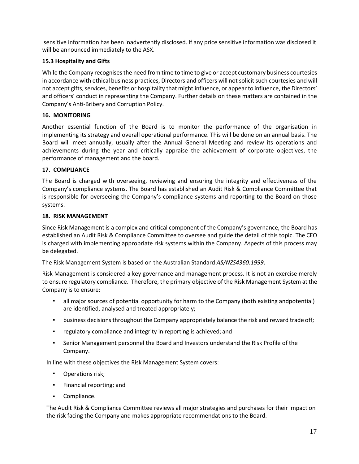sensitive information has been inadvertently disclosed. If any price sensitive information was disclosed it will be announced immediately to the ASX.

# <span id="page-19-0"></span>**15.3 Hospitality and Gifts**

While the Company recognises the need from time to time to give or accept customary business courtesies in accordance with ethical business practices, Directors and officers will not solicit such courtesies and will not accept gifts, services, benefits or hospitality that might influence, or appear to influence, the Directors' and officers' conduct in representing the Company. Further details on these matters are contained in the Company's Anti-Bribery and Corruption Policy.

# <span id="page-19-1"></span>**16. MONITORING**

Another essential function of the Board is to monitor the performance of the organisation in implementing its strategy and overall operational performance. This will be done on an annual basis. The Board will meet annually, usually after the Annual General Meeting and review its operations and achievements during the year and critically appraise the achievement of corporate objectives, the performance of management and the board.

# <span id="page-19-2"></span>**17. COMPLIANCE**

The Board is charged with overseeing, reviewing and ensuring the integrity and effectiveness of the Company's compliance systems. The Board has established an Audit Risk & Compliance Committee that is responsible for overseeing the Company's compliance systems and reporting to the Board on those systems.

# <span id="page-19-3"></span>**18. RISK MANAGEMENT**

Since Risk Management is a complex and critical component of the Company's governance, the Board has established an Audit Risk & Compliance Committee to oversee and guide the detail of this topic. The CEO is charged with implementing appropriate risk systems within the Company. Aspects of this process may be delegated.

The Risk Management System is based on the Australian Standard *AS/NZS4360:1999*.

Risk Management is considered a key governance and management process. It is not an exercise merely to ensure regulatory compliance. Therefore, the primary objective of the Risk Management System at the Company is to ensure:

- all major sources of potential opportunity for harm to the Company (both existing andpotential) are identified, analysed and treated appropriately;
- business decisionsthroughout the Company appropriately balance the risk and reward trade off; ▪
- regulatory compliance and integrity in reporting is achieved; and ▪
- Senior Management personnel the Board and Investors understand the Risk Profile of the Company. ▪

In line with these objectives the Risk Management System covers:

- Operations risk;
- Financial reporting; and
- Compliance.

The Audit Risk & Compliance Committee reviews all major strategies and purchases for their impact on the risk facing the Company and makes appropriate recommendations to the Board.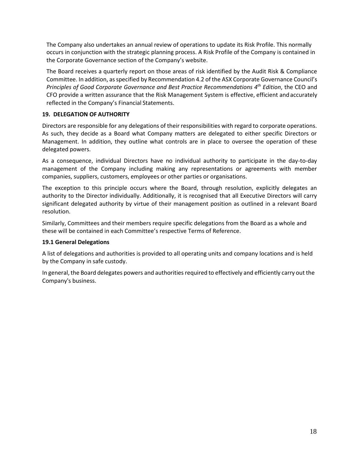The Company also undertakes an annual review of operations to update its Risk Profile. This normally occurs in conjunction with the strategic planning process. A Risk Profile of the Company is contained in the Corporate Governance section of the Company's website.

The Board receives a quarterly report on those areas of risk identified by the Audit Risk & Compliance Committee. In addition, asspecified by Recommendation 4.2 of the ASX Corporate Governance Council's *Principles of Good Corporate Governance and Best Practice Recommendations 4th Edition*, the CEO and CFO provide a written assurance that the Risk Management System is effective, efficient andaccurately reflected in the Company's Financial Statements.

## <span id="page-20-0"></span>**19. DELEGATION OF AUTHORITY**

Directors are responsible for any delegations of their responsibilities with regard to corporate operations. As such, they decide as a Board what Company matters are delegated to either specific Directors or Management. In addition, they outline what controls are in place to oversee the operation of these delegated powers.

As a consequence, individual Directors have no individual authority to participate in the day-to-day management of the Company including making any representations or agreements with member companies, suppliers, customers, employees or other parties or organisations.

The exception to this principle occurs where the Board, through resolution, explicitly delegates an authority to the Director individually. Additionally, it is recognised that all Executive Directors will carry significant delegated authority by virtue of their management position as outlined in a relevant Board resolution.

Similarly, Committees and their members require specific delegations from the Board as a whole and these will be contained in each Committee's respective Terms of Reference.

### <span id="page-20-1"></span>**19.1 General Delegations**

A list of delegations and authorities is provided to all operating units and company locations and is held by the Company in safe custody.

In general, the Board delegates powers and authorities required to effectively and efficiently carry out the Company's business.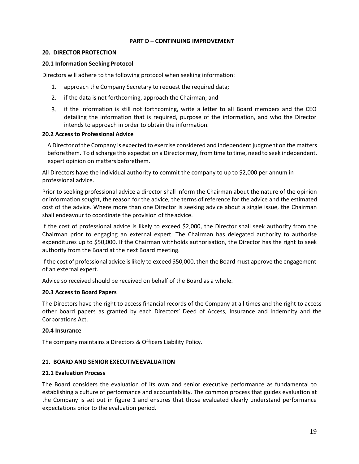### <span id="page-21-0"></span>**PART D – CONTINUING IMPROVEMENT**

#### <span id="page-21-1"></span>**20. DIRECTOR PROTECTION**

#### <span id="page-21-2"></span>**20.1 Information Seeking Protocol**

Directors will adhere to the following protocol when seeking information:

- 1. approach the Company Secretary to request the required data;
- 2. if the data is not forthcoming, approach the Chairman; and
- 3. if the information is still not forthcoming, write a letter to all Board members and the CEO detailing the information that is required, purpose of the information, and who the Director intends to approach in order to obtain the information.

#### <span id="page-21-3"></span>**20.2 Access to Professional Advice**

A Director ofthe Company is expected to exercise considered and independent judgment on the matters before them. To discharge this expectation a Director may, from time to time, need to seek independent, expert opinion on matters beforethem.

All Directors have the individual authority to commit the company to up to \$2,000 per annum in professional advice.

Prior to seeking professional advice a director shall inform the Chairman about the nature of the opinion or information sought, the reason for the advice, the terms of reference for the advice and the estimated cost of the advice. Where more than one Director is seeking advice about a single issue, the Chairman shall endeavour to coordinate the provision of theadvice.

If the cost of professional advice is likely to exceed \$2,000, the Director shall seek authority from the Chairman prior to engaging an external expert. The Chairman has delegated authority to authorise expenditures up to \$50,000. If the Chairman withholds authorisation, the Director has the right to seek authority from the Board at the next Board meeting.

If the cost of professional advice is likely to exceed \$50,000, then the Board must approve the engagement of an external expert.

Advice so received should be received on behalf of the Board as a whole.

### <span id="page-21-4"></span>**20.3 Access to Board Papers**

The Directors have the right to access financial records of the Company at all times and the right to access other board papers as granted by each Directors' Deed of Access, Insurance and Indemnity and the Corporations Act.

### <span id="page-21-5"></span>**20.4 Insurance**

The company maintains a Directors & Officers Liability Policy.

### <span id="page-21-6"></span>**21. BOARD AND SENIOR EXECUTIVE EVALUATION**

#### <span id="page-21-7"></span>**21.1 Evaluation Process**

The Board considers the evaluation of its own and senior executive performance as fundamental to establishing a culture of performance and accountability. The common process that guides evaluation at the Company is set out in figure 1 and ensures that those evaluated clearly understand performance expectations prior to the evaluation period.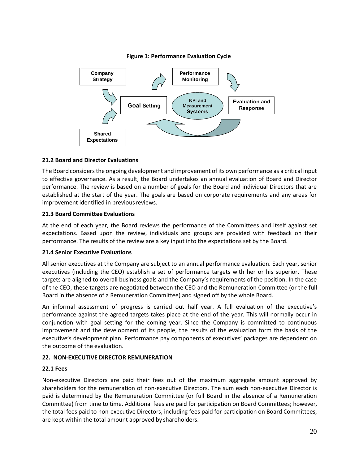

# **Figure 1: Performance Evaluation Cycle**

## <span id="page-22-0"></span>**21.2 Board and Director Evaluations**

The Board considers the ongoing development and improvement of its own performance as a critical input to effective governance. As a result, the Board undertakes an annual evaluation of Board and Director performance. The review is based on a number of goals for the Board and individual Directors that are established at the start of the year. The goals are based on corporate requirements and any areas for improvement identified in previousreviews.

### <span id="page-22-1"></span>**21.3 Board Committee Evaluations**

At the end of each year, the Board reviews the performance of the Committees and itself against set expectations. Based upon the review, individuals and groups are provided with feedback on their performance. The results of the review are a key input into the expectations set by the Board.

### <span id="page-22-2"></span>**21.4 Senior Executive Evaluations**

All senior executives at the Company are subject to an annual performance evaluation. Each year, senior executives (including the CEO) establish a set of performance targets with her or his superior. These targets are aligned to overall business goals and the Company's requirements of the position. In the case of the CEO, these targets are negotiated between the CEO and the Remuneration Committee (or the full Board in the absence of a Remuneration Committee) and signed off by the whole Board.

An informal assessment of progress is carried out half year. A full evaluation of the executive's performance against the agreed targets takes place at the end of the year. This will normally occur in conjunction with goal setting for the coming year. Since the Company is committed to continuous improvement and the development of its people, the results of the evaluation form the basis of the executive's development plan. Performance pay components of executives' packages are dependent on the outcome of the evaluation.

# <span id="page-22-3"></span>**22. NON-EXECUTIVE DIRECTOR REMUNERATION**

### <span id="page-22-4"></span>**22.1 Fees**

Non-executive Directors are paid their fees out of the maximum aggregate amount approved by shareholders for the remuneration of non-executive Directors. The sum each non-executive Director is paid is determined by the Remuneration Committee (or full Board in the absence of a Remuneration Committee) from time to time. Additional fees are paid for participation on Board Committees; however, the total fees paid to non-executive Directors, including fees paid for participation on Board Committees, are kept within the total amount approved by shareholders.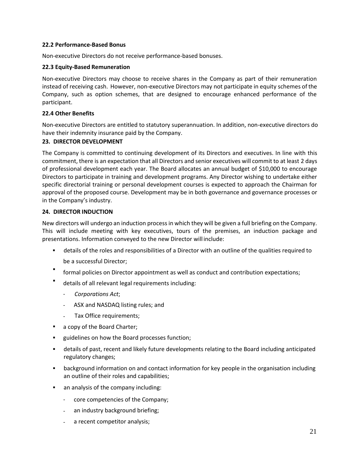### <span id="page-23-0"></span>**22.2 Performance-Based Bonus**

Non-executive Directors do not receive performance-based bonuses.

#### <span id="page-23-1"></span>**22.3 Equity-Based Remuneration**

Non-executive Directors may choose to receive shares in the Company as part of their remuneration instead of receiving cash. However, non-executive Directors may not participate in equity schemes of the Company, such as option schemes, that are designed to encourage enhanced performance of the participant.

### <span id="page-23-2"></span>**22.4 Other Benefits**

Non-executive Directors are entitled to statutory superannuation. In addition, non-executive directors do have their indemnity insurance paid by the Company.

#### <span id="page-23-3"></span>**23. DIRECTOR DEVELOPMENT**

The Company is committed to continuing development of its Directors and executives. In line with this commitment, there is an expectation that all Directors and senior executives will commit to at least 2 days of professional development each year. The Board allocates an annual budget of \$10,000 to encourage Directors to participate in training and development programs. Any Director wishing to undertake either specific directorial training or personal development courses is expected to approach the Chairman for approval of the proposed course. Development may be in both governance and governance processes or in the Company's industry.

#### <span id="page-23-4"></span>**24. DIRECTOR INDUCTION**

New directors will undergo an induction processin which they will be given a full briefing on the Company. This will include meeting with key executives, tours of the premises, an induction package and presentations. Information conveyed to the new Director will include:

- details of the roles and responsibilities of a Director with an outline of the qualities required to
	- be a successful Director;
- formal policies on Director appointment as well as conduct and contribution expectations;
- details of all relevant legal requirements including:
	- *Corporations Act*;
	- ASX and NASDAQ listing rules; and
	- Tax Office requirements;
- a copy of the Board Charter;
- guidelines on how the Board processes function;
- **EXTED 10** details of past, recent and likely future developments relating to the Board including anticipated regulatory changes;
- background information on and contact information for key people in the organisation including an outline of their roles and capabilities;
- an analysis of the company including:
	- core competencies of the Company;
	- an industry background briefing;
	- a recent competitor analysis;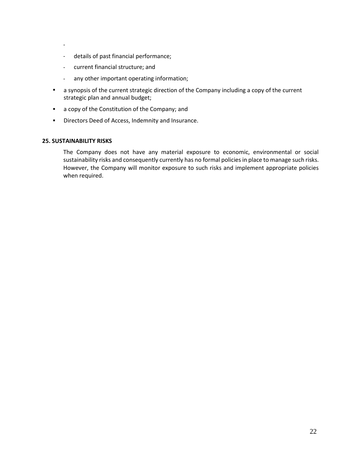- -
- details of past financial performance;
- current financial structure; and
- any other important operating information;
- a synopsis of the current strategic direction of the Company including a copy of the current strategic plan and annual budget;
- a copy of the Constitution of the Company; and
- Directors Deed of Access, Indemnity and Insurance.

#### <span id="page-24-0"></span>**25. SUSTAINABILITY RISKS**

The Company does not have any material exposure to economic, environmental or social sustainability risks and consequently currently has no formal policies in place to manage such risks. However, the Company will monitor exposure to such risks and implement appropriate policies when required.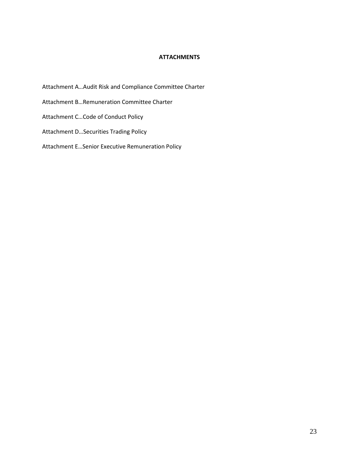### <span id="page-25-0"></span>**ATTACHMENTS**

- Attachment A…Audit Risk and Compliance Committee Charter
- Attachment B…Remuneration Committee Charter
- Attachment C…Code of Conduct Policy
- Attachment D…Securities Trading Policy
- Attachment E…Senior Executive Remuneration Policy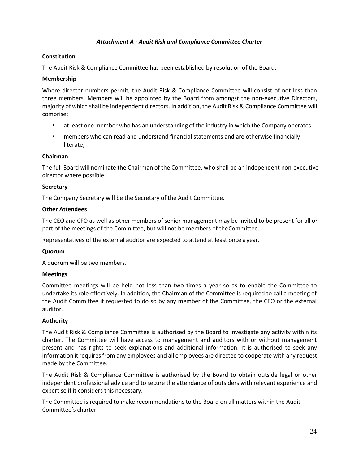### <span id="page-26-0"></span>*Attachment A - Audit Risk and Compliance Committee Charter*

### **Constitution**

The Audit Risk & Compliance Committee has been established by resolution of the Board.

### **Membership**

Where director numbers permit, the Audit Risk & Compliance Committee will consist of not less than three members. Members will be appointed by the Board from amongst the non-executive Directors, majority of which shall be independent directors. In addition, the Audit Risk & Compliance Committee will comprise:

- at least one member who has an understanding of the industry in which the Company operates.
- members who can read and understand financial statements and are otherwise financially literate;

### **Chairman**

The full Board will nominate the Chairman of the Committee, who shall be an independent non-executive director where possible.

## **Secretary**

The Company Secretary will be the Secretary of the Audit Committee.

## **Other Attendees**

The CEO and CFO as well as other members of senior management may be invited to be present for all or part of the meetings of the Committee, but will not be members of theCommittee.

Representatives of the external auditor are expected to attend at least once ayear.

### **Quorum**

A quorum will be two members.

### **Meetings**

Committee meetings will be held not less than two times a year so as to enable the Committee to undertake its role effectively. In addition, the Chairman of the Committee is required to call a meeting of the Audit Committee if requested to do so by any member of the Committee, the CEO or the external auditor.

### **Authority**

The Audit Risk & Compliance Committee is authorised by the Board to investigate any activity within its charter. The Committee will have access to management and auditors with or without management present and has rights to seek explanations and additional information. It is authorised to seek any information it requires from any employees and all employees are directed to cooperate with any request made by the Committee.

The Audit Risk & Compliance Committee is authorised by the Board to obtain outside legal or other independent professional advice and to secure the attendance of outsiders with relevant experience and expertise if it considers this necessary.

The Committee is required to make recommendations to the Board on all matters within the Audit Committee's charter.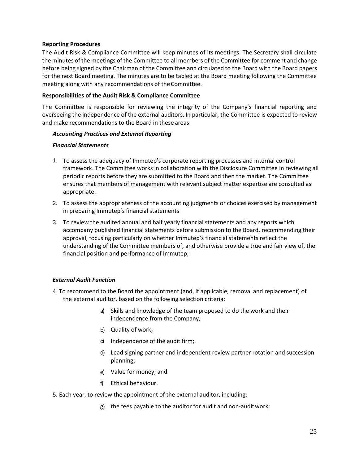### **Reporting Procedures**

The Audit Risk & Compliance Committee will keep minutes of its meetings. The Secretary shall circulate the minutes of the meetings of the Committee to all members of the Committee for comment and change before being signed by the Chairman of the Committee and circulated to the Board with the Board papers for the next Board meeting. The minutes are to be tabled at the Board meeting following the Committee meeting along with any recommendations of theCommittee.

### **Responsibilities of the Audit Risk & Compliance Committee**

The Committee is responsible for reviewing the integrity of the Company's financial reporting and overseeing the independence of the external auditors. In particular, the Committee is expected to review and make recommendations to the Board in these areas:

## *Accounting Practices and External Reporting*

### *Financial Statements*

- 1. To assess the adequacy of Immutep's corporate reporting processes and internal control framework. The Committee works in collaboration with the Disclosure Committee in reviewing all periodic reports before they are submitted to the Board and then the market. The Committee ensures that members of management with relevant subject matter expertise are consulted as appropriate.
- To assess the appropriateness of the accounting judgments or choices exercised by management 2. in preparing Immutep's financial statements
- To review the audited annual and half yearly financial statements and any reports which 3. accompany published financial statements before submission to the Board, recommending their approval, focusing particularly on whether Immutep's financial statements reflect the understanding of the Committee members of, and otherwise provide a true and fair view of, the financial position and performance of Immutep;

# *External Audit Function*

- 4. To recommend to the Board the appointment (and, if applicable, removal and replacement) of the external auditor, based on the following selection criteria:
	- a) Skills and knowledge of the team proposed to do the work and their independence from the Company;
	- b) Quality of work;
	- c) Independence of the audit firm;
	- Lead signing partner and independent review partner rotation and succession d) planning;
	- Value for money; and e)
	- f) Ethical behaviour.
- 5. Each year, to review the appointment of the external auditor, including:
	- g) the fees payable to the auditor for audit and non-auditwork;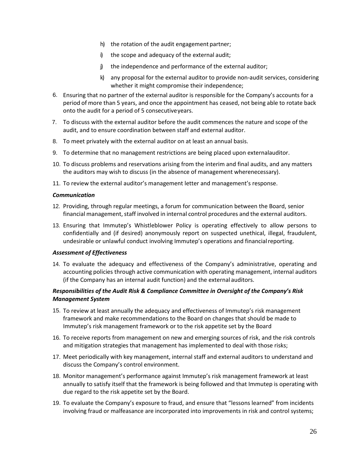- h) the rotation of the audit engagement partner;
- i) the scope and adequacy of the external audit;
- j) the independence and performance of the external auditor;
- k) any proposal for the external auditor to provide non-audit services, considering whether it might compromise their independence;
- 6. Ensuring that no partner of the external auditor is responsible for the Company's accounts for a period of more than 5 years, and once the appointment has ceased, not being able to rotate back onto the audit for a period of 5 consecutiveyears.
- To discuss with the external auditor before the audit commences the nature and scope of the 7. audit, and to ensure coordination between staff and external auditor.
- To meet privately with the external auditor on at least an annual basis. 8.
- To determine that no management restrictions are being placed upon externalauditor. 9.
- To discuss problems and reservations arising from the interim and final audits, and any matters 10. the auditors may wish to discuss (in the absence of management wherenecessary).
- 11. To review the external auditor's management letter and management's response.

#### *Communication*

- 12. Providing, through regular meetings, a forum for communication between the Board, senior financial management, staff involved in internal control procedures and the external auditors.
- 13. Ensuring that Immutep's Whistleblower Policy is operating effectively to allow persons to confidentially and (if desired) anonymously report on suspected unethical, illegal, fraudulent, undesirable or unlawful conduct involving Immutep's operations and financialreporting.

#### *Assessment of Effectiveness*

14. To evaluate the adequacy and effectiveness of the Company's administrative, operating and accounting policies through active communication with operating management, internal auditors (if the Company has an internal audit function) and the external auditors.

## *Responsibilities of the Audit Risk & Compliance Committee in Oversight of the Company's Risk Management System*

- 15. To review at least annually the adequacy and effectiveness of Immutep's risk management framework and make recommendations to the Board on changes that should be made to Immutep's risk management framework or to the risk appetite set by the Board
- 16. To receive reports from management on new and emerging sources of risk, and the risk controls and mitigation strategies that management has implemented to deal with those risks;
- Meet periodically with key management, internal staff and external auditors to understand and 17. discuss the Company's control environment.
- 18. Monitor management's performance against Immutep's risk management framework at least annually to satisfy itself that the framework is being followed and that Immutep is operating with due regard to the risk appetite set by the Board.
- To evaluate the Company's exposure to fraud, and ensure that "lessons learned" from incidents 19. involving fraud or malfeasance are incorporated into improvements in risk and control systems;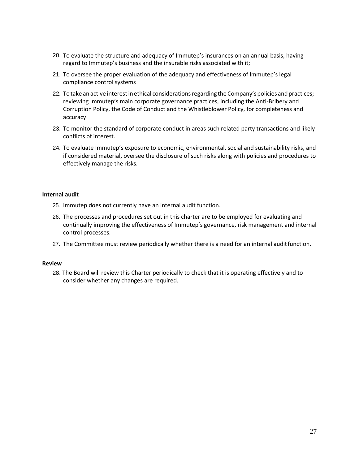- 20. To evaluate the structure and adequacy of Immutep's insurances on an annual basis, having regard to Immutep's business and the insurable risks associated with it;
- 21. To oversee the proper evaluation of the adequacy and effectiveness of Immutep's legal compliance control systems
- 22. To take an active interest in ethical considerations regarding the Company's policies and practices; reviewing Immutep's main corporate governance practices, including the Anti-Bribery and Corruption Policy, the Code of Conduct and the Whistleblower Policy, for completeness and accuracy
- 23. To monitor the standard of corporate conduct in areas such related party transactions and likely conflicts of interest.
- To evaluate Immutep's exposure to economic, environmental, social and sustainability risks, and 24. if considered material, oversee the disclosure of such risks along with policies and procedures to effectively manage the risks.

#### **Internal audit**

- 25. Immutep does not currently have an internal audit function.
- 26. The processes and procedures set out in this charter are to be employed for evaluating and continually improving the effectiveness of Immutep's governance, risk management and internal control processes.
- 27. The Committee must review periodically whether there is a need for an internal auditfunction.

#### **Review**

28. The Board will review this Charter periodically to check that it is operating effectively and to consider whether any changes are required.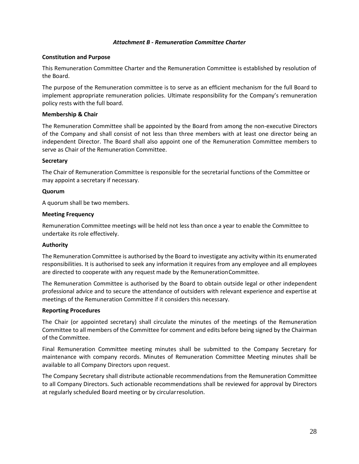#### <span id="page-30-0"></span>*Attachment B - Remuneration Committee Charter*

#### **Constitution and Purpose**

This Remuneration Committee Charter and the Remuneration Committee is established by resolution of the Board.

The purpose of the Remuneration committee is to serve as an efficient mechanism for the full Board to implement appropriate remuneration policies. Ultimate responsibility for the Company's remuneration policy rests with the full board.

#### **Membership & Chair**

The Remuneration Committee shall be appointed by the Board from among the non-executive Directors of the Company and shall consist of not less than three members with at least one director being an independent Director. The Board shall also appoint one of the Remuneration Committee members to serve as Chair of the Remuneration Committee.

#### **Secretary**

The Chair of Remuneration Committee is responsible for the secretarial functions of the Committee or may appoint a secretary if necessary.

#### **Quorum**

A quorum shall be two members.

#### **Meeting Frequency**

Remuneration Committee meetings will be held not less than once a year to enable the Committee to undertake its role effectively.

#### **Authority**

The Remuneration Committee is authorised by the Board to investigate any activity within its enumerated responsibilities. It is authorised to seek any information it requires from any employee and all employees are directed to cooperate with any request made by the RemunerationCommittee.

The Remuneration Committee is authorised by the Board to obtain outside legal or other independent professional advice and to secure the attendance of outsiders with relevant experience and expertise at meetings of the Remuneration Committee if it considers this necessary.

#### **Reporting Procedures**

The Chair (or appointed secretary) shall circulate the minutes of the meetings of the Remuneration Committee to all members of the Committee for comment and edits before being signed by the Chairman of the Committee.

Final Remuneration Committee meeting minutes shall be submitted to the Company Secretary for maintenance with company records. Minutes of Remuneration Committee Meeting minutes shall be available to all Company Directors upon request.

The Company Secretary shall distribute actionable recommendations from the Remuneration Committee to all Company Directors. Such actionable recommendations shall be reviewed for approval by Directors at regularly scheduled Board meeting or by circularresolution.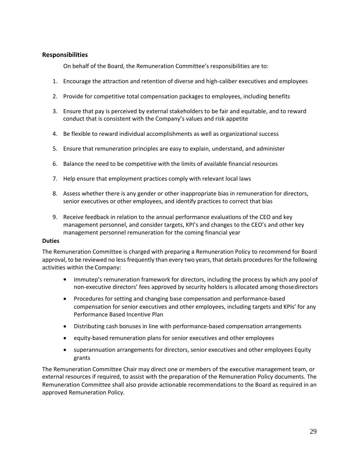# **Responsibilities**

On behalf of the Board, the Remuneration Committee's responsibilities are to:

- 1. Encourage the attraction and retention of diverse and high-caliber executives and employees
- 2. Provide for competitive total compensation packages to employees, including benefits
- 3. Ensure that pay is perceived by external stakeholders to be fair and equitable, and to reward conduct that is consistent with the Company's values and risk appetite
- 4. Be flexible to reward individual accomplishments as well as organizational success
- 5. Ensure that remuneration principles are easy to explain, understand, and administer
- 6. Balance the need to be competitive with the limits of available financial resources
- 7. Help ensure that employment practices comply with relevant local laws
- 8. Assess whether there is any gender or other inappropriate bias in remuneration for directors, senior executives or other employees, and identify practices to correct that bias
- 9. Receive feedback in relation to the annual performance evaluations of the CEO and key management personnel, and consider targets, KPI's and changes to the CEO's and other key management personnel remuneration for the coming financial year

#### **Duties**

The Remuneration Committee is charged with preparing a Remuneration Policy to recommend for Board approval, to be reviewed no less frequently than every two years,that details procedures forthe following activities within the Company:

- Immutep's remuneration framework for directors, including the process by which any pool of non-executive directors' fees approved by security holders is allocated among thosedirectors
- Procedures for setting and changing base compensation and performance-based compensation for senior executives and other employees, including targets and KPIs' for any Performance Based Incentive Plan
- Distributing cash bonuses in line with performance-based compensation arrangements •
- equity-based remuneration plans for senior executives and other employees
- superannuation arrangements for directors, senior executives and other employees Equity grants

The Remuneration Committee Chair may direct one or members of the executive management team, or external resources if required, to assist with the preparation of the Remuneration Policy documents. The Remuneration Committee shall also provide actionable recommendations to the Board as required in an approved Remuneration Policy.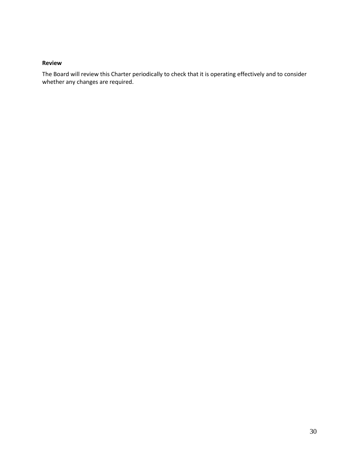#### **Review**

The Board will review this Charter periodically to check that it is operating effectively and to consider whether any changes are required.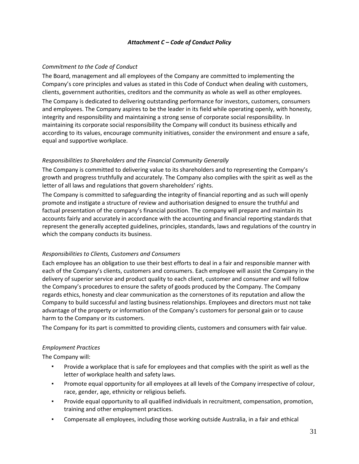### <span id="page-33-0"></span>*Attachment C – Code of Conduct Policy*

### *Commitment to the Code of Conduct*

The Board, management and all employees of the Company are committed to implementing the Company's core principles and values as stated in this Code of Conduct when dealing with customers, clients, government authorities, creditors and the community as whole as well as other employees.

The Company is dedicated to delivering outstanding performance for investors, customers, consumers and employees. The Company aspires to be the leader in its field while operating openly, with honesty, integrity and responsibility and maintaining a strong sense of corporate social responsibility. In maintaining its corporate social responsibility the Company will conduct its business ethically and according to its values, encourage community initiatives, consider the environment and ensure a safe, equal and supportive workplace.

## *Responsibilities to Shareholders and the Financial Community Generally*

The Company is committed to delivering value to its shareholders and to representing the Company's growth and progress truthfully and accurately. The Company also complies with the spirit as well as the letter of all laws and regulations that govern shareholders' rights.

The Company is committed to safeguarding the integrity of financial reporting and as such will openly promote and instigate a structure of review and authorisation designed to ensure the truthful and factual presentation of the company's financial position. The company will prepare and maintain its accounts fairly and accurately in accordance with the accounting and financial reporting standards that represent the generally accepted guidelines, principles, standards, laws and regulations of the country in which the company conducts its business.

### *Responsibilities to Clients, Customers and Consumers*

Each employee has an obligation to use their best efforts to deal in a fair and responsible manner with each of the Company's clients, customers and consumers. Each employee will assist the Company in the delivery of superior service and product quality to each client, customer and consumer and will follow the Company's procedures to ensure the safety of goods produced by the Company. The Company regards ethics, honesty and clear communication as the cornerstones of its reputation and allow the Company to build successful and lasting business relationships. Employees and directors must not take advantage of the property or information of the Company's customers for personal gain or to cause harm to the Company or its customers.

The Company for its part is committed to providing clients, customers and consumers with fair value.

### *Employment Practices*

The Company will:

- Provide a workplace that is safe for employees and that complies with the spirit as well as the letter of workplace health and safety laws.
- Promote equal opportunity for all employees at all levels of the Company irrespective of colour, race, gender, age, ethnicity or religious beliefs. ▪
- Provide equal opportunity to all qualified individuals in recruitment, compensation, promotion, training and other employment practices. ▪
- Compensate all employees, including those working outside Australia, in a fair and ethical ▪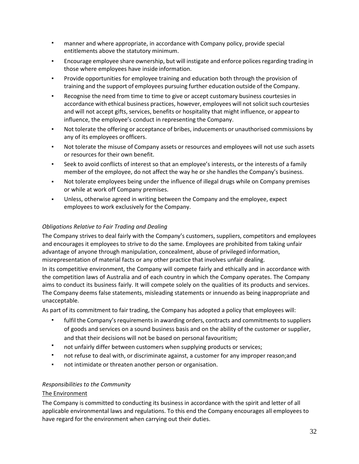- **•** manner and where appropriate, in accordance with Company policy, provide special entitlements above the statutory minimum.
- Encourage employee share ownership, but will instigate and enforce polices regarding trading in those where employees have inside information. ▪
- Provide opportunities for employee training and education both through the provision of training and the support of employees pursuing further education outside of the Company. ▪
- Recognise the need from time to time to give or accept customary business courtesies in accordance with ethical business practices, however, employees will not solicit such courtesies and will not accept gifts, services, benefits or hospitality that might influence, or appearto influence, the employee's conduct in representing the Company. ▪
- Not tolerate the offering or acceptance of bribes, inducements or unauthorised commissions by any of its employees orofficers. ▪
- Not tolerate the misuse of Company assets or resources and employees will not use such assets or resources for their own benefit. ▪
- Seek to avoid conflicts of interest so that an employee's interests, or the interests of a family member of the employee, do not affect the way he or she handles the Company's business. ▪
- Not tolerate employees being under the influence of illegal drugs while on Company premises or while at work off Company premises. ▪
- Unless, otherwise agreed in writing between the Company and the employee, expect employees to work exclusively for the Company. ▪

# *Obligations Relative to Fair Trading and Dealing*

The Company strives to deal fairly with the Company's customers, suppliers, competitors and employees and encourages it employees to strive to do the same. Employees are prohibited from taking unfair advantage of anyone through manipulation, concealment, abuse of privileged information, misrepresentation of material facts or any other practice that involves unfair dealing.

In its competitive environment, the Company will compete fairly and ethically and in accordance with the competition laws of Australia and of each country in which the Company operates. The Company aims to conduct its business fairly. It will compete solely on the qualities of its products and services. The Company deems false statements, misleading statements or innuendo as being inappropriate and unacceptable.

As part of its commitment to fair trading, the Company has adopted a policy that employees will:

- fulfil the Company's requirements in awarding orders, contracts and commitments to suppliers of goods and services on a sound business basis and on the ability of the customer or supplier, and that their decisions will not be based on personal favouritism;
- not unfairly differ between customers when supplying products or services; ▪
- not refuse to deal with, or discriminate against, a customer for any improper reason;and ▪
- not intimidate or threaten another person or organisation. ▪

# *Responsibilities to the Community*

# The Environment

The Company is committed to conducting its business in accordance with the spirit and letter of all applicable environmental laws and regulations. To this end the Company encourages all employees to have regard for the environment when carrying out their duties.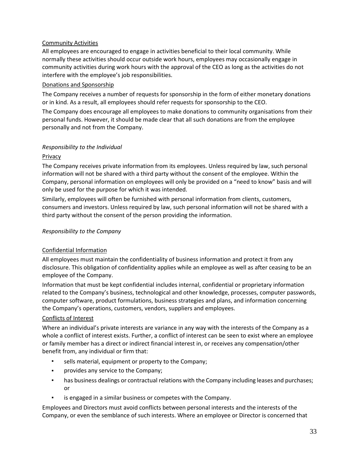## Community Activities

All employees are encouraged to engage in activities beneficial to their local community. While normally these activities should occur outside work hours, employees may occasionally engage in community activities during work hours with the approval of the CEO as long as the activities do not interfere with the employee's job responsibilities.

## Donations and Sponsorship

The Company receives a number of requests for sponsorship in the form of either monetary donations or in kind. As a result, all employees should refer requests for sponsorship to the CEO.

The Company does encourage all employees to make donations to community organisations from their personal funds. However, it should be made clear that all such donations are from the employee personally and not from the Company.

## *Responsibility to the Individual*

## Privacy

The Company receives private information from its employees. Unless required by law, such personal information will not be shared with a third party without the consent of the employee. Within the Company, personal information on employees will only be provided on a "need to know" basis and will only be used for the purpose for which it was intended.

Similarly, employees will often be furnished with personal information from clients, customers, consumers and investors. Unless required by law, such personal information will not be shared with a third party without the consent of the person providing the information.

## *Responsibility to the Company*

### Confidential Information

All employees must maintain the confidentiality of business information and protect it from any disclosure. This obligation of confidentiality applies while an employee as well as after ceasing to be an employee of the Company.

Information that must be kept confidential includes internal, confidential or proprietary information related to the Company's business, technological and other knowledge, processes, computer passwords, computer software, product formulations, business strategies and plans, and information concerning the Company's operations, customers, vendors, suppliers and employees.

### Conflicts of Interest

Where an individual's private interests are variance in any way with the interests of the Company as a whole a conflict of interest exists. Further, a conflict of interest can be seen to exist where an employee or family member has a direct or indirect financial interest in, or receives any compensation/other benefit from, any individual or firm that:

- sells material, equipment or property to the Company;
- provides any service to the Company;
- has business dealings or contractual relations with the Company including leases and purchases; or
- is engaged in a similar business or competes with the Company.

Employees and Directors must avoid conflicts between personal interests and the interests of the Company, or even the semblance of such interests. Where an employee or Director is concerned that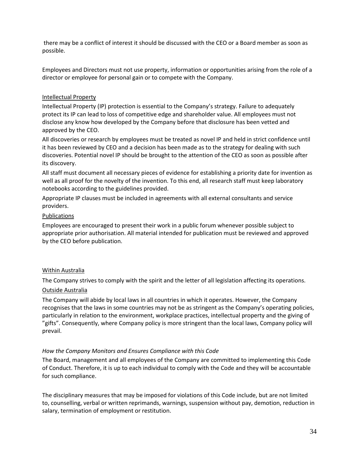there may be a conflict of interest it should be discussed with the CEO or a Board member as soon as possible.

Employees and Directors must not use property, information or opportunities arising from the role of a director or employee for personal gain or to compete with the Company.

### Intellectual Property

Intellectual Property (IP) protection is essential to the Company's strategy. Failure to adequately protect its IP can lead to loss of competitive edge and shareholder value. All employees must not disclose any know how developed by the Company before that disclosure has been vetted and approved by the CEO.

All discoveries or research by employees must be treated as novel IP and held in strict confidence until it has been reviewed by CEO and a decision has been made as to the strategy for dealing with such discoveries. Potential novel IP should be brought to the attention of the CEO as soon as possible after its discovery.

All staff must document all necessary pieces of evidence for establishing a priority date for invention as well as all proof for the novelty of the invention. To this end, all research staff must keep laboratory notebooks according to the guidelines provided.

Appropriate IP clauses must be included in agreements with all external consultants and service providers.

### Publications

Employees are encouraged to present their work in a public forum whenever possible subject to appropriate prior authorisation. All material intended for publication must be reviewed and approved by the CEO before publication.

### Within Australia

The Company strives to comply with the spirit and the letter of all legislation affecting its operations.

### Outside Australia

The Company will abide by local laws in all countries in which it operates. However, the Company recognises that the laws in some countries may not be as stringent as the Company's operating policies, particularly in relation to the environment, workplace practices, intellectual property and the giving of "gifts". Consequently, where Company policy is more stringent than the local laws, Company policy will prevail.

### *How the Company Monitors and Ensures Compliance with this Code*

The Board, management and all employees of the Company are committed to implementing this Code of Conduct. Therefore, it is up to each individual to comply with the Code and they will be accountable for such compliance.

The disciplinary measures that may be imposed for violations of this Code include, but are not limited to, counselling, verbal or written reprimands, warnings, suspension without pay, demotion, reduction in salary, termination of employment or restitution.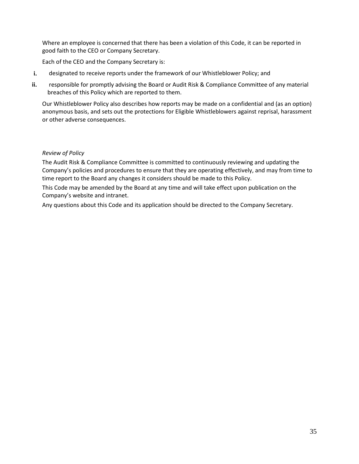Where an employee is concerned that there has been a violation of this Code, it can be reported in good faith to the CEO or Company Secretary.

Each of the CEO and the Company Secretary is:

- designated to receive reports under the framework of our Whistleblower Policy; and **i.**
- responsible for promptly advising the Board or Audit Risk & Compliance Committee of any material breaches of this Policy which are reported to them. **ii.**

Our Whistleblower Policy also describes how reports may be made on a confidential and (as an option) anonymous basis, and sets out the protections for Eligible Whistleblowers against reprisal, harassment or other adverse consequences.

## *Review of Policy*

The Audit Risk & Compliance Committee is committed to continuously reviewing and updating the Company's policies and procedures to ensure that they are operating effectively, and may from time to time report to the Board any changes it considers should be made to this Policy.

This Code may be amended by the Board at any time and will take effect upon publication on the Company's website and intranet.

Any questions about this Code and its application should be directed to the Company Secretary.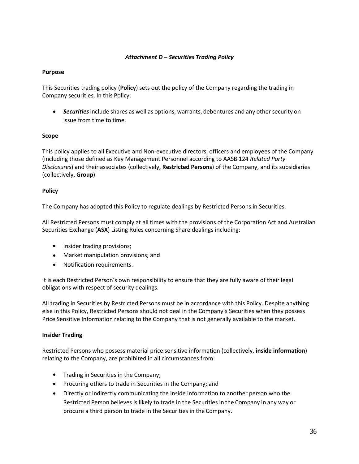### <span id="page-38-0"></span>*Attachment D – Securities Trading Policy*

## **Purpose**

This Securities trading policy (**Policy**) sets out the policy of the Company regarding the trading in Company securities. In this Policy:

• *Securities*include shares as well as options, warrants, debentures and any other security on issue from time to time.

## **Scope**

This policy applies to all Executive and Non-executive directors, officers and employees of the Company (including those defined as Key Management Personnel according to AASB 124 *Related Party Disclosures*) and their associates (collectively, **Restricted Persons**) of the Company, and its subsidiaries (collectively, **Group**)

## **Policy**

The Company has adopted this Policy to regulate dealings by Restricted Persons in Securities.

All Restricted Persons must comply at all times with the provisions of the Corporation Act and Australian Securities Exchange (**ASX**) Listing Rules concerning Share dealings including:

- Insider trading provisions;
- Market manipulation provisions; and
- Notification requirements.

It is each Restricted Person's own responsibility to ensure that they are fully aware of their legal obligations with respect of security dealings.

All trading in Securities by Restricted Persons must be in accordance with this Policy. Despite anything else in this Policy, Restricted Persons should not deal in the Company's Securities when they possess Price Sensitive Information relating to the Company that is not generally available to the market.

### **Insider Trading**

Restricted Persons who possess material price sensitive information (collectively, **inside information**) relating to the Company, are prohibited in all circumstances from:

- Trading in Securities in the Company;
- Procuring others to trade in Securities in the Company; and
- Directly or indirectly communicating the inside information to another person who the Restricted Person believes is likely to trade in the Securities in the Company in any way or procure a third person to trade in the Securities in the Company.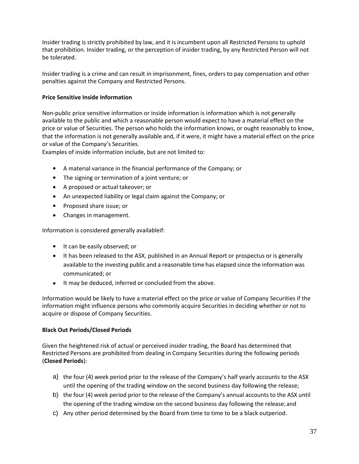Insider trading is strictly prohibited by law, and it is incumbent upon all Restricted Persons to uphold that prohibition. Insider trading, or the perception of insider trading, by any Restricted Person will not be tolerated.

Insider trading is a crime and can result in imprisonment, fines, orders to pay compensation and other penalties against the Company and Restricted Persons.

## **Price Sensitive Inside Information**

Non-public price sensitive information or inside information is information which is not generally available to the public and which a reasonable person would expect to have a material effect on the price or value of Securities. The person who holds the information knows, or ought reasonably to know, that the information is not generally available and, if it were, it might have a material effect on the price or value of the Company's Securities.

Examples of inside information include, but are not limited to:

- A material variance in the financial performance of the Company; or
- The signing or termination of a joint venture; or
- A proposed or actual takeover; or
- An unexpected liability or legal claim against the Company; or
- Proposed share issue; or
- Changes in management.

Information is considered generally availableif:

- It can be easily observed; or
- It has been released to the ASX, published in an Annual Report or prospectus or is generally available to the investing public and a reasonable time has elapsed since the information was communicated; or
- It may be deduced, inferred or concluded from the above.

Information would be likely to have a material effect on the price or value of Company Securities if the information might influence persons who commonly acquire Securities in deciding whether or not to acquire or dispose of Company Securities.

### **Black Out Periods/Closed Periods**

Given the heightened risk of actual or perceived insider trading, the Board has determined that Restricted Persons are prohibited from dealing in Company Securities during the following periods (**Closed Periods**):

- a) the four (4) week period prior to the release of the Company's half yearly accounts to the ASX until the opening of the trading window on the second business day following the release;
- b) the four (4) week period prior to the release of the Company's annual accounts to the ASX until the opening of the trading window on the second business day following the release; and
- c) Any other period determined by the Board from time to time to be a black outperiod.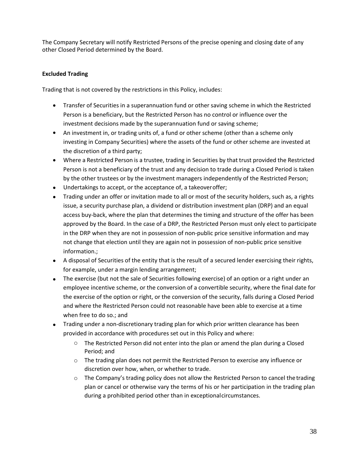The Company Secretary will notify Restricted Persons of the precise opening and closing date of any other Closed Period determined by the Board.

# **Excluded Trading**

Trading that is not covered by the restrictions in this Policy, includes:

- Transfer of Securities in a superannuation fund or other saving scheme in which the Restricted Person is a beneficiary, but the Restricted Person has no control or influence over the investment decisions made by the superannuation fund or saving scheme;
- An investment in, or trading units of, a fund or other scheme (other than a scheme only investing in Company Securities) where the assets of the fund or other scheme are invested at the discretion of a third party;
- Where a Restricted Person is a trustee, trading in Securities by that trust provided the Restricted Person is not a beneficiary of the trust and any decision to trade during a Closed Period is taken by the other trustees or by the investment managers independently of the Restricted Person;
- Undertakings to accept, or the acceptance of, a takeover offer; •
- Trading under an offer or invitation made to all or most of the security holders, such as, a rights issue, a security purchase plan, a dividend or distribution investment plan (DRP) and an equal access buy-back, where the plan that determines the timing and structure of the offer has been approved by the Board. In the case of a DRP, the Restricted Person must only elect to participate in the DRP when they are not in possession of non-public price sensitive information and may not change that election until they are again not in possession of non-public price sensitive information.;
- A disposal of Securities of the entity that is the result of a secured lender exercising their rights, for example, under a margin lending arrangement;
- The exercise (but not the sale of Securities following exercise) of an option or a right under an employee incentive scheme, or the conversion of a convertible security, where the final date for the exercise of the option or right, or the conversion of the security, falls during a Closed Period and where the Restricted Person could not reasonable have been able to exercise at a time when free to do so.; and
- Trading under a non-discretionary trading plan for which prior written clearance has been provided in accordance with procedures set out in this Policy and where:
	- $\circ$  The Restricted Person did not enter into the plan or amend the plan during a Closed Period; and
	- $\circ$  The trading plan does not permit the Restricted Person to exercise any influence or discretion over how, when, or whether to trade.
	- $\circ$  The Company's trading policy does not allow the Restricted Person to cancel the trading plan or cancel or otherwise vary the terms of his or her participation in the trading plan during a prohibited period other than in exceptionalcircumstances.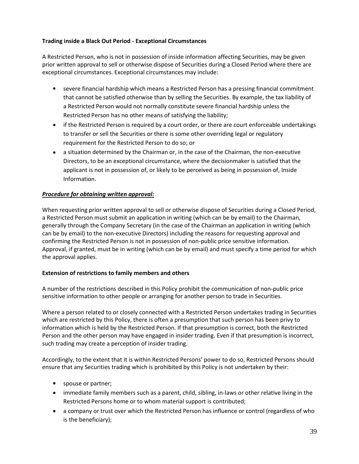## **Trading inside a Black Out Period - Exceptional Circumstances**

A Restricted Person, who is not in possession of inside information affecting Securities, may be given prior written approval to sell or otherwise dispose of Securities during a Closed Period where there are exceptional circumstances. Exceptional circumstances may include:

- severe financial hardship which means a Restricted Person has a pressing financial commitment that cannot be satisfied otherwise than by selling the Securities. By example, the tax liability of a Restricted Person would not normally constitute severe financial hardship unless the Restricted Person has no other means of satisfying the liability;
- if the Restricted Person is required by a court order, or there are court enforceable undertakings to transfer or sell the Securities or there is some other overriding legal or regulatory requirement for the Restricted Person to do so; or
- a situation determined by the Chairman or, in the case of the Chairman, the non-executive Directors, to be an exceptional circumstance, where the decisionmaker is satisfied that the applicant is not in possession of, or likely to be perceived as being in possession of, Inside Information.

## *Procedure for obtaining written approval:*

When requesting prior written approval to sell or otherwise dispose of Securities during a Closed Period, a Restricted Person must submit an application in writing (which can be by email) to the Chairman, generally through the Company Secretary (in the case of the Chairman an application in writing (which can be by email) to the non-executive Directors) including the reasons for requesting approval and confirming the Restricted Person is not in possession of non-public price sensitive information. Approval, if granted, must be in writing (which can be by email) and must specify a time period for which the approval applies.

### **Extension of restrictions to family members and others**

A number of the restrictions described in this Policy prohibit the communication of non-public price sensitive information to other people or arranging for another person to trade in Securities.

Where a person related to or closely connected with a Restricted Person undertakes trading in Securities which are restricted by this Policy, there is often a presumption that such person has been privy to information which is held by the Restricted Person. If that presumption is correct, both the Restricted Person and the other person may have engaged in insider trading. Even if that presumption is incorrect, such trading may create a perception of insider trading.

Accordingly, to the extent that it is within Restricted Persons' power to do so, Restricted Persons should ensure that any Securities trading which is prohibited by this Policy is not undertaken by their:

- spouse or partner;
- immediate family members such as a parent, child, sibling, in-laws or other relative living in the Restricted Persons home or to whom material support is contributed;
- a company or trust over which the Restricted Person has influence or control (regardless of who is the beneficiary);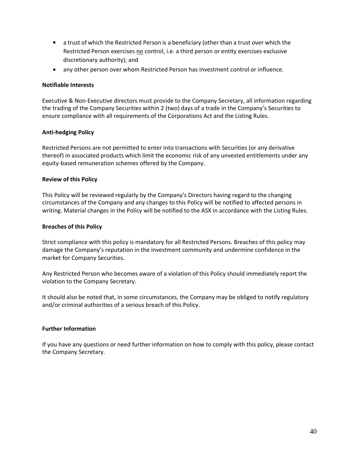- a trust of which the Restricted Person is a beneficiary (other than a trust over which the Restricted Person exercises no control, i.e. a third person or entity exercises exclusive discretionary authority); and
- any other person over whom Restricted Person has investment control or influence.

### **Notifiable Interests**

Executive & Non-Executive directors must provide to the Company Secretary, all information regarding the trading of the Company Securities within 2 (two) days of a trade in the Company's Securities to ensure compliance with all requirements of the Corporations Act and the Listing Rules.

## **Anti-hedging Policy**

Restricted Persons are not permitted to enter into transactions with Securities (or any derivative thereof) in associated products which limit the economic risk of any unvested entitlements under any equity-based remuneration schemes offered by the Company.

### **Review of this Policy**

This Policy will be reviewed regularly by the Company's Directors having regard to the changing circumstances of the Company and any changes to this Policy will be notified to affected persons in writing. Material changes in the Policy will be notified to the ASX in accordance with the Listing Rules.

### **Breaches of this Policy**

Strict compliance with this policy is mandatory for all Restricted Persons. Breaches of this policy may damage the Company's reputation in the investment community and undermine confidence in the market for Company Securities.

Any Restricted Person who becomes aware of a violation of this Policy should immediately report the violation to the Company Secretary.

It should also be noted that, in some circumstances, the Company may be obliged to notify regulatory and/or criminal authorities of a serious breach of this Policy.

### **Further Information**

If you have any questions or need further information on how to comply with this policy, please contact the Company Secretary.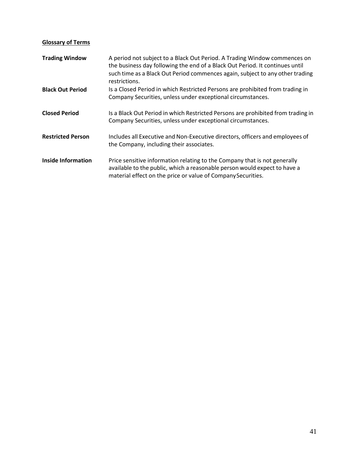# **Glossary of Terms**

| <b>Trading Window</b>     | A period not subject to a Black Out Period. A Trading Window commences on<br>the business day following the end of a Black Out Period. It continues until<br>such time as a Black Out Period commences again, subject to any other trading<br>restrictions. |
|---------------------------|-------------------------------------------------------------------------------------------------------------------------------------------------------------------------------------------------------------------------------------------------------------|
| <b>Black Out Period</b>   | Is a Closed Period in which Restricted Persons are prohibited from trading in<br>Company Securities, unless under exceptional circumstances.                                                                                                                |
| <b>Closed Period</b>      | Is a Black Out Period in which Restricted Persons are prohibited from trading in<br>Company Securities, unless under exceptional circumstances.                                                                                                             |
| <b>Restricted Person</b>  | Includes all Executive and Non-Executive directors, officers and employees of<br>the Company, including their associates.                                                                                                                                   |
| <b>Inside Information</b> | Price sensitive information relating to the Company that is not generally<br>available to the public, which a reasonable person would expect to have a<br>material effect on the price or value of Company Securities.                                      |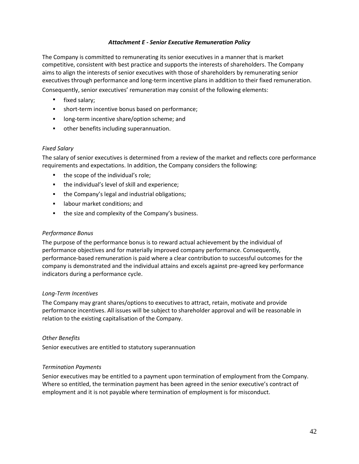### <span id="page-44-0"></span>*Attachment E - Senior Executive Remuneration Policy*

The Company is committed to remunerating its senior executives in a manner that is market competitive, consistent with best practice and supports the interests of shareholders. The Company aims to align the interests of senior executives with those of shareholders by remunerating senior executives through performance and long-term incentive plans in addition to their fixed remuneration.

Consequently, senior executives' remuneration may consist of the following elements:

- fixed salary;
- short-term incentive bonus based on performance;
- long-term incentive share/option scheme; and
- other benefits including superannuation.

### *Fixed Salary*

The salary of senior executives is determined from a review of the market and reflects core performance requirements and expectations. In addition, the Company considers the following:

- the scope of the individual's role;
- the individual's level of skill and experience;
- the Company's legal and industrial obligations;
- labour market conditions; and
- **•** the size and complexity of the Company's business.

#### *Performance Bonus*

The purpose of the performance bonus is to reward actual achievement by the individual of performance objectives and for materially improved company performance. Consequently, performance-based remuneration is paid where a clear contribution to successful outcomes for the company is demonstrated and the individual attains and excels against pre-agreed key performance indicators during a performance cycle.

### *Long-Term Incentives*

The Company may grant shares/options to executives to attract, retain, motivate and provide performance incentives. All issues will be subject to shareholder approval and will be reasonable in relation to the existing capitalisation of the Company.

### *Other Benefits*

Senior executives are entitled to statutory superannuation

### *Termination Payments*

Senior executives may be entitled to a payment upon termination of employment from the Company. Where so entitled, the termination payment has been agreed in the senior executive's contract of employment and it is not payable where termination of employment is for misconduct.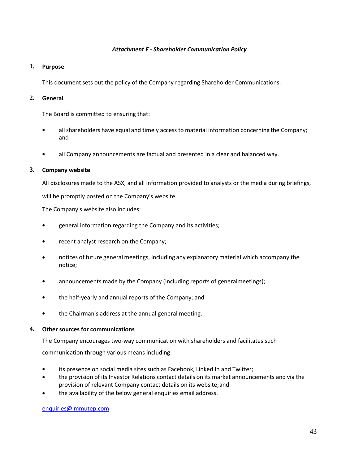#### <span id="page-45-0"></span>*Attachment F - Shareholder Communication Policy*

### **1. Purpose**

This document sets out the policy of the Company regarding Shareholder Communications.

## **2. General**

The Board is committed to ensuring that:

- all shareholders have equal and timely access to material information concerning the Company; and
- all Company announcements are factual and presented in a clear and balanced way.

## **3. Company website**

All disclosures made to the ASX, and all information provided to analysts or the media during briefings,

will be promptly posted on the Company's website.

The Company's website also includes:

- general information regarding the Company and its activities;
- recent analyst research on the Company;
- notices of future general meetings, including any explanatory material which accompany the notice;
- announcements made by the Company (including reports of generalmeetings);
- the half-yearly and annual reports of the Company; and
- the Chairman's address at the annual general meeting.

### **4. Other sources for communications**

The Company encourages two-way communication with shareholders and facilitates such

communication through various means including:

- its presence on social media sites such as Facebook, Linked In and Twitter;
- the provision of its Investor Relations contact details on its market announcements and via the provision of relevant Company contact details on its website;and
- the availability of the below general enquiries email address.

[enquiries@immutep.com](mailto:enquiries@immutep.com)